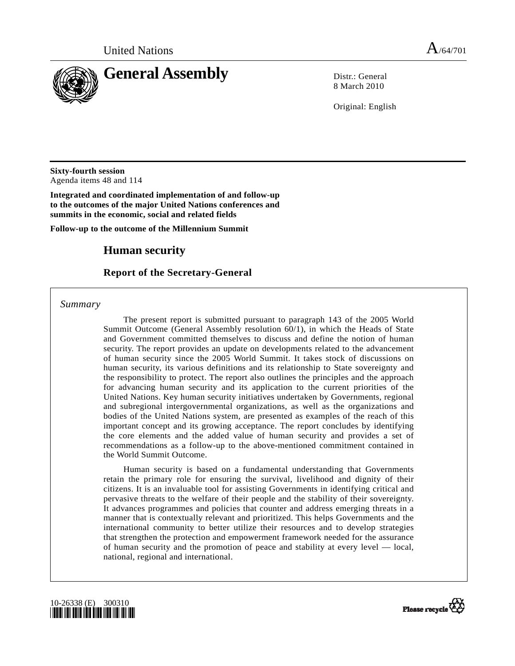

8 March 2010

Original: English

**Sixty-fourth session**  Agenda items 48 and 114

**Integrated and coordinated implementation of and follow-up to the outcomes of the major United Nations conferences and summits in the economic, social and related fields** 

**Follow-up to the outcome of the Millennium Summit** 

# **Human security**

## **Report of the Secretary-General**

 *Summary* 

 The present report is submitted pursuant to paragraph 143 of the 2005 World Summit Outcome (General Assembly resolution 60/1), in which the Heads of State and Government committed themselves to discuss and define the notion of human security. The report provides an update on developments related to the advancement of human security since the 2005 World Summit. It takes stock of discussions on human security, its various definitions and its relationship to State sovereignty and the responsibility to protect. The report also outlines the principles and the approach for advancing human security and its application to the current priorities of the United Nations. Key human security initiatives undertaken by Governments, regional and subregional intergovernmental organizations, as well as the organizations and bodies of the United Nations system, are presented as examples of the reach of this important concept and its growing acceptance. The report concludes by identifying the core elements and the added value of human security and provides a set of recommendations as a follow-up to the above-mentioned commitment contained in the World Summit Outcome.

 Human security is based on a fundamental understanding that Governments retain the primary role for ensuring the survival, livelihood and dignity of their citizens. It is an invaluable tool for assisting Governments in identifying critical and pervasive threats to the welfare of their people and the stability of their sovereignty. It advances programmes and policies that counter and address emerging threats in a manner that is contextually relevant and prioritized. This helps Governments and the international community to better utilize their resources and to develop strategies that strengthen the protection and empowerment framework needed for the assurance of human security and the promotion of peace and stability at every level — local, national, regional and international.



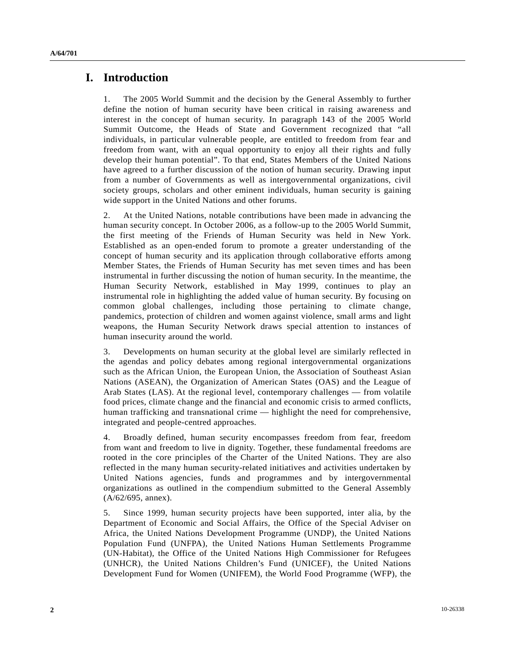## **I. Introduction**

1. The 2005 World Summit and the decision by the General Assembly to further define the notion of human security have been critical in raising awareness and interest in the concept of human security. In paragraph 143 of the 2005 World Summit Outcome, the Heads of State and Government recognized that "all individuals, in particular vulnerable people, are entitled to freedom from fear and freedom from want, with an equal opportunity to enjoy all their rights and fully develop their human potential". To that end, States Members of the United Nations have agreed to a further discussion of the notion of human security. Drawing input from a number of Governments as well as intergovernmental organizations, civil society groups, scholars and other eminent individuals, human security is gaining wide support in the United Nations and other forums.

2. At the United Nations, notable contributions have been made in advancing the human security concept. In October 2006, as a follow-up to the 2005 World Summit, the first meeting of the Friends of Human Security was held in New York. Established as an open-ended forum to promote a greater understanding of the concept of human security and its application through collaborative efforts among Member States, the Friends of Human Security has met seven times and has been instrumental in further discussing the notion of human security. In the meantime, the Human Security Network, established in May 1999, continues to play an instrumental role in highlighting the added value of human security. By focusing on common global challenges, including those pertaining to climate change, pandemics, protection of children and women against violence, small arms and light weapons, the Human Security Network draws special attention to instances of human insecurity around the world.

3. Developments on human security at the global level are similarly reflected in the agendas and policy debates among regional intergovernmental organizations such as the African Union, the European Union, the Association of Southeast Asian Nations (ASEAN), the Organization of American States (OAS) and the League of Arab States (LAS). At the regional level, contemporary challenges — from volatile food prices, climate change and the financial and economic crisis to armed conflicts, human trafficking and transnational crime — highlight the need for comprehensive, integrated and people-centred approaches.

4. Broadly defined, human security encompasses freedom from fear, freedom from want and freedom to live in dignity. Together, these fundamental freedoms are rooted in the core principles of the Charter of the United Nations. They are also reflected in the many human security-related initiatives and activities undertaken by United Nations agencies, funds and programmes and by intergovernmental organizations as outlined in the compendium submitted to the General Assembly (A/62/695, annex).

5. Since 1999, human security projects have been supported, inter alia, by the Department of Economic and Social Affairs, the Office of the Special Adviser on Africa, the United Nations Development Programme (UNDP), the United Nations Population Fund (UNFPA), the United Nations Human Settlements Programme (UN-Habitat), the Office of the United Nations High Commissioner for Refugees (UNHCR), the United Nations Children's Fund (UNICEF), the United Nations Development Fund for Women (UNIFEM), the World Food Programme (WFP), the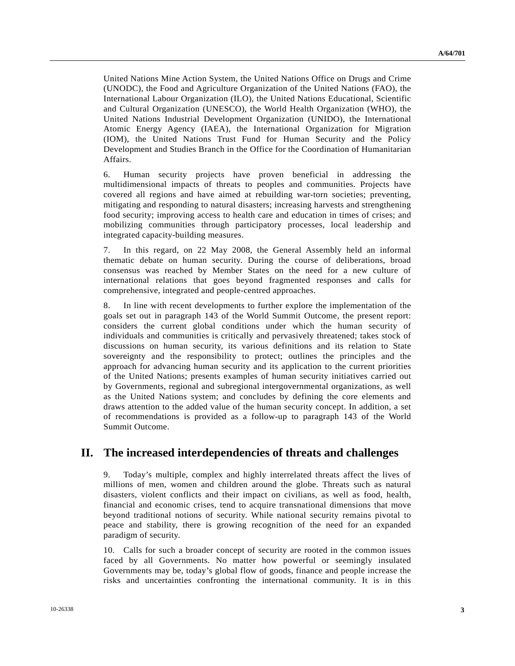United Nations Mine Action System, the United Nations Office on Drugs and Crime (UNODC), the Food and Agriculture Organization of the United Nations (FAO), the International Labour Organization (ILO), the United Nations Educational, Scientific and Cultural Organization (UNESCO), the World Health Organization (WHO), the United Nations Industrial Development Organization (UNIDO), the International Atomic Energy Agency (IAEA), the International Organization for Migration (IOM), the United Nations Trust Fund for Human Security and the Policy Development and Studies Branch in the Office for the Coordination of Humanitarian Affairs.

6. Human security projects have proven beneficial in addressing the multidimensional impacts of threats to peoples and communities. Projects have covered all regions and have aimed at rebuilding war-torn societies; preventing, mitigating and responding to natural disasters; increasing harvests and strengthening food security; improving access to health care and education in times of crises; and mobilizing communities through participatory processes, local leadership and integrated capacity-building measures.

7. In this regard, on 22 May 2008, the General Assembly held an informal thematic debate on human security. During the course of deliberations, broad consensus was reached by Member States on the need for a new culture of international relations that goes beyond fragmented responses and calls for comprehensive, integrated and people-centred approaches.

8. In line with recent developments to further explore the implementation of the goals set out in paragraph 143 of the World Summit Outcome, the present report: considers the current global conditions under which the human security of individuals and communities is critically and pervasively threatened; takes stock of discussions on human security, its various definitions and its relation to State sovereignty and the responsibility to protect; outlines the principles and the approach for advancing human security and its application to the current priorities of the United Nations; presents examples of human security initiatives carried out by Governments, regional and subregional intergovernmental organizations, as well as the United Nations system; and concludes by defining the core elements and draws attention to the added value of the human security concept. In addition, a set of recommendations is provided as a follow-up to paragraph 143 of the World Summit Outcome.

# **II. The increased interdependencies of threats and challenges**

9. Today's multiple, complex and highly interrelated threats affect the lives of millions of men, women and children around the globe. Threats such as natural disasters, violent conflicts and their impact on civilians, as well as food, health, financial and economic crises, tend to acquire transnational dimensions that move beyond traditional notions of security. While national security remains pivotal to peace and stability, there is growing recognition of the need for an expanded paradigm of security.

10. Calls for such a broader concept of security are rooted in the common issues faced by all Governments. No matter how powerful or seemingly insulated Governments may be, today's global flow of goods, finance and people increase the risks and uncertainties confronting the international community. It is in this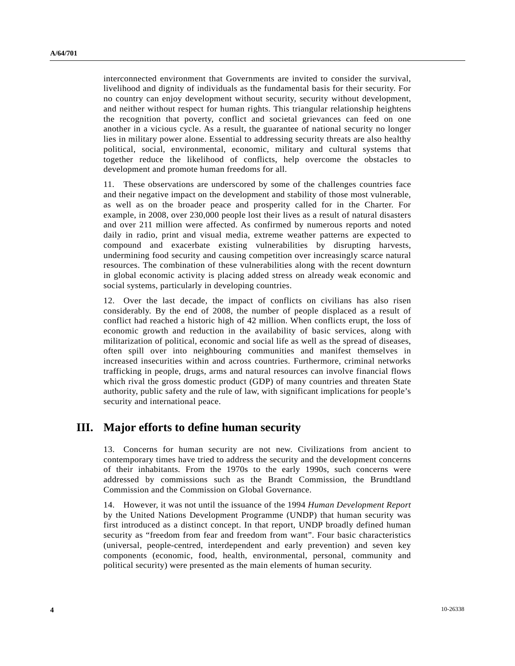interconnected environment that Governments are invited to consider the survival, livelihood and dignity of individuals as the fundamental basis for their security. For no country can enjoy development without security, security without development, and neither without respect for human rights. This triangular relationship heightens the recognition that poverty, conflict and societal grievances can feed on one another in a vicious cycle. As a result, the guarantee of national security no longer lies in military power alone. Essential to addressing security threats are also healthy political, social, environmental, economic, military and cultural systems that together reduce the likelihood of conflicts, help overcome the obstacles to development and promote human freedoms for all.

11. These observations are underscored by some of the challenges countries face and their negative impact on the development and stability of those most vulnerable, as well as on the broader peace and prosperity called for in the Charter. For example, in 2008, over 230,000 people lost their lives as a result of natural disasters and over 211 million were affected. As confirmed by numerous reports and noted daily in radio, print and visual media, extreme weather patterns are expected to compound and exacerbate existing vulnerabilities by disrupting harvests, undermining food security and causing competition over increasingly scarce natural resources. The combination of these vulnerabilities along with the recent downturn in global economic activity is placing added stress on already weak economic and social systems, particularly in developing countries.

12. Over the last decade, the impact of conflicts on civilians has also risen considerably. By the end of 2008, the number of people displaced as a result of conflict had reached a historic high of 42 million. When conflicts erupt, the loss of economic growth and reduction in the availability of basic services, along with militarization of political, economic and social life as well as the spread of diseases, often spill over into neighbouring communities and manifest themselves in increased insecurities within and across countries. Furthermore, criminal networks trafficking in people, drugs, arms and natural resources can involve financial flows which rival the gross domestic product (GDP) of many countries and threaten State authority, public safety and the rule of law, with significant implications for people's security and international peace.

# **III. Major efforts to define human security**

13. Concerns for human security are not new. Civilizations from ancient to contemporary times have tried to address the security and the development concerns of their inhabitants. From the 1970s to the early 1990s, such concerns were addressed by commissions such as the Brandt Commission, the Brundtland Commission and the Commission on Global Governance.

14. However, it was not until the issuance of the 1994 *Human Development Report* by the United Nations Development Programme (UNDP) that human security was first introduced as a distinct concept. In that report, UNDP broadly defined human security as "freedom from fear and freedom from want". Four basic characteristics (universal, people-centred, interdependent and early prevention) and seven key components (economic, food, health, environmental, personal, community and political security) were presented as the main elements of human security.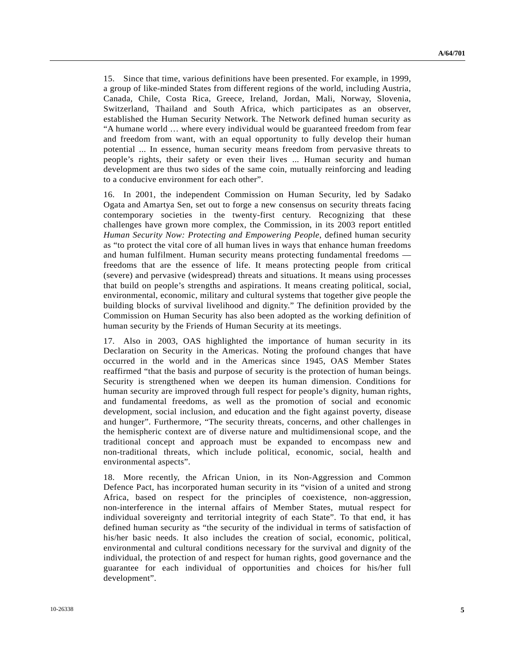15. Since that time, various definitions have been presented. For example, in 1999, a group of like-minded States from different regions of the world, including Austria, Canada, Chile, Costa Rica, Greece, Ireland, Jordan, Mali, Norway, Slovenia, Switzerland, Thailand and South Africa, which participates as an observer, established the Human Security Network. The Network defined human security as "A humane world … where every individual would be guaranteed freedom from fear and freedom from want, with an equal opportunity to fully develop their human potential ... In essence, human security means freedom from pervasive threats to people's rights, their safety or even their lives ... Human security and human development are thus two sides of the same coin, mutually reinforcing and leading to a conducive environment for each other".

16. In 2001, the independent Commission on Human Security, led by Sadako Ogata and Amartya Sen, set out to forge a new consensus on security threats facing contemporary societies in the twenty-first century. Recognizing that these challenges have grown more complex, the Commission, in its 2003 report entitled *Human Security Now: Protecting and Empowering People*, defined human security as "to protect the vital core of all human lives in ways that enhance human freedoms and human fulfilment. Human security means protecting fundamental freedoms freedoms that are the essence of life. It means protecting people from critical (severe) and pervasive (widespread) threats and situations. It means using processes that build on people's strengths and aspirations. It means creating political, social, environmental, economic, military and cultural systems that together give people the building blocks of survival livelihood and dignity." The definition provided by the Commission on Human Security has also been adopted as the working definition of human security by the Friends of Human Security at its meetings.

17. Also in 2003, OAS highlighted the importance of human security in its Declaration on Security in the Americas. Noting the profound changes that have occurred in the world and in the Americas since 1945, OAS Member States reaffirmed "that the basis and purpose of security is the protection of human beings. Security is strengthened when we deepen its human dimension. Conditions for human security are improved through full respect for people's dignity, human rights, and fundamental freedoms, as well as the promotion of social and economic development, social inclusion, and education and the fight against poverty, disease and hunger". Furthermore, "The security threats, concerns, and other challenges in the hemispheric context are of diverse nature and multidimensional scope, and the traditional concept and approach must be expanded to encompass new and non-traditional threats, which include political, economic, social, health and environmental aspects".

18. More recently, the African Union, in its Non-Aggression and Common Defence Pact, has incorporated human security in its "vision of a united and strong Africa, based on respect for the principles of coexistence, non-aggression, non-interference in the internal affairs of Member States, mutual respect for individual sovereignty and territorial integrity of each State". To that end, it has defined human security as "the security of the individual in terms of satisfaction of his/her basic needs. It also includes the creation of social, economic, political, environmental and cultural conditions necessary for the survival and dignity of the individual, the protection of and respect for human rights, good governance and the guarantee for each individual of opportunities and choices for his/her full development".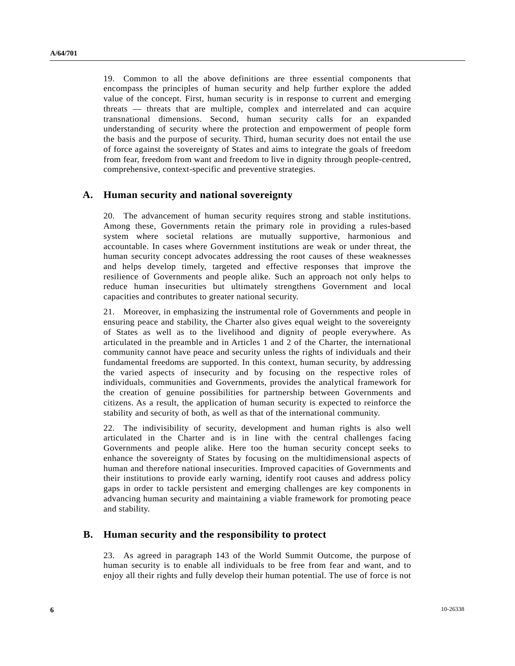19. Common to all the above definitions are three essential components that encompass the principles of human security and help further explore the added value of the concept. First, human security is in response to current and emerging threats — threats that are multiple, complex and interrelated and can acquire transnational dimensions. Second, human security calls for an expanded understanding of security where the protection and empowerment of people form the basis and the purpose of security. Third, human security does not entail the use of force against the sovereignty of States and aims to integrate the goals of freedom from fear, freedom from want and freedom to live in dignity through people-centred, comprehensive, context-specific and preventive strategies.

### **A. Human security and national sovereignty**

20. The advancement of human security requires strong and stable institutions. Among these, Governments retain the primary role in providing a rules-based system where societal relations are mutually supportive, harmonious and accountable. In cases where Government institutions are weak or under threat, the human security concept advocates addressing the root causes of these weaknesses and helps develop timely, targeted and effective responses that improve the resilience of Governments and people alike. Such an approach not only helps to reduce human insecurities but ultimately strengthens Government and local capacities and contributes to greater national security.

21. Moreover, in emphasizing the instrumental role of Governments and people in ensuring peace and stability, the Charter also gives equal weight to the sovereignty of States as well as to the livelihood and dignity of people everywhere. As articulated in the preamble and in Articles 1 and 2 of the Charter, the international community cannot have peace and security unless the rights of individuals and their fundamental freedoms are supported. In this context, human security, by addressing the varied aspects of insecurity and by focusing on the respective roles of individuals, communities and Governments, provides the analytical framework for the creation of genuine possibilities for partnership between Governments and citizens. As a result, the application of human security is expected to reinforce the stability and security of both, as well as that of the international community.

22. The indivisibility of security, development and human rights is also well articulated in the Charter and is in line with the central challenges facing Governments and people alike. Here too the human security concept seeks to enhance the sovereignty of States by focusing on the multidimensional aspects of human and therefore national insecurities. Improved capacities of Governments and their institutions to provide early warning, identify root causes and address policy gaps in order to tackle persistent and emerging challenges are key components in advancing human security and maintaining a viable framework for promoting peace and stability.

### **B. Human security and the responsibility to protect**

23. As agreed in paragraph 143 of the World Summit Outcome, the purpose of human security is to enable all individuals to be free from fear and want, and to enjoy all their rights and fully develop their human potential. The use of force is not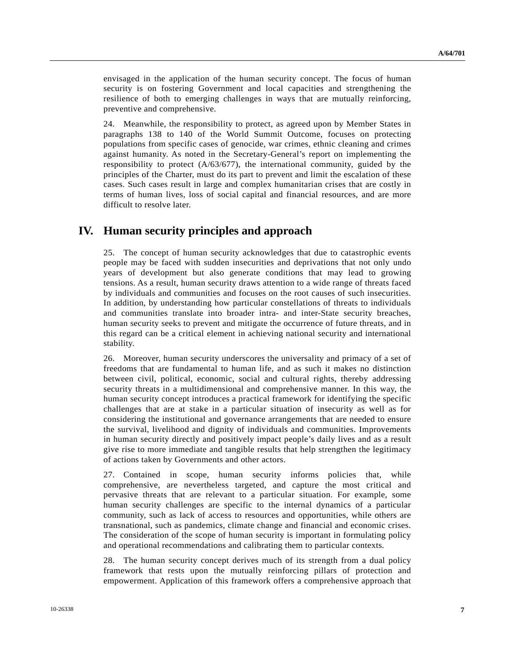envisaged in the application of the human security concept. The focus of human security is on fostering Government and local capacities and strengthening the resilience of both to emerging challenges in ways that are mutually reinforcing, preventive and comprehensive.

24. Meanwhile, the responsibility to protect, as agreed upon by Member States in paragraphs 138 to 140 of the World Summit Outcome, focuses on protecting populations from specific cases of genocide, war crimes, ethnic cleaning and crimes against humanity. As noted in the Secretary-General's report on implementing the responsibility to protect (A/63/677), the international community, guided by the principles of the Charter, must do its part to prevent and limit the escalation of these cases. Such cases result in large and complex humanitarian crises that are costly in terms of human lives, loss of social capital and financial resources, and are more difficult to resolve later.

# **IV. Human security principles and approach**

25. The concept of human security acknowledges that due to catastrophic events people may be faced with sudden insecurities and deprivations that not only undo years of development but also generate conditions that may lead to growing tensions. As a result, human security draws attention to a wide range of threats faced by individuals and communities and focuses on the root causes of such insecurities. In addition, by understanding how particular constellations of threats to individuals and communities translate into broader intra- and inter-State security breaches, human security seeks to prevent and mitigate the occurrence of future threats, and in this regard can be a critical element in achieving national security and international stability.

26. Moreover, human security underscores the universality and primacy of a set of freedoms that are fundamental to human life, and as such it makes no distinction between civil, political, economic, social and cultural rights, thereby addressing security threats in a multidimensional and comprehensive manner. In this way, the human security concept introduces a practical framework for identifying the specific challenges that are at stake in a particular situation of insecurity as well as for considering the institutional and governance arrangements that are needed to ensure the survival, livelihood and dignity of individuals and communities. Improvements in human security directly and positively impact people's daily lives and as a result give rise to more immediate and tangible results that help strengthen the legitimacy of actions taken by Governments and other actors.

27. Contained in scope, human security informs policies that, while comprehensive, are nevertheless targeted, and capture the most critical and pervasive threats that are relevant to a particular situation. For example, some human security challenges are specific to the internal dynamics of a particular community, such as lack of access to resources and opportunities, while others are transnational, such as pandemics, climate change and financial and economic crises. The consideration of the scope of human security is important in formulating policy and operational recommendations and calibrating them to particular contexts.

28. The human security concept derives much of its strength from a dual policy framework that rests upon the mutually reinforcing pillars of protection and empowerment. Application of this framework offers a comprehensive approach that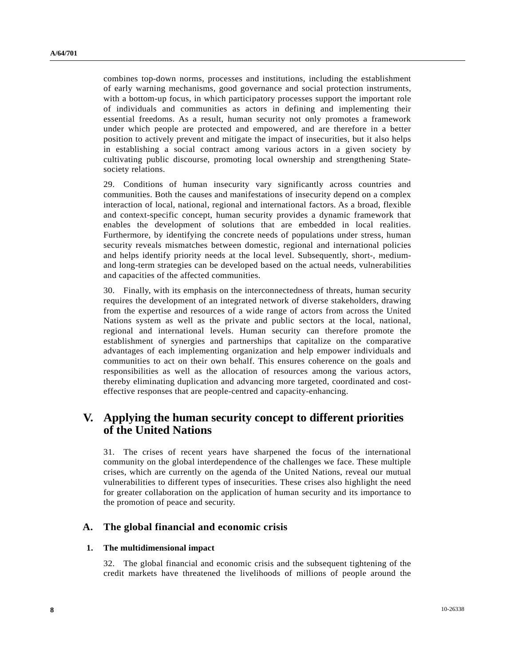combines top-down norms, processes and institutions, including the establishment of early warning mechanisms, good governance and social protection instruments, with a bottom-up focus, in which participatory processes support the important role of individuals and communities as actors in defining and implementing their essential freedoms. As a result, human security not only promotes a framework under which people are protected and empowered, and are therefore in a better position to actively prevent and mitigate the impact of insecurities, but it also helps in establishing a social contract among various actors in a given society by cultivating public discourse, promoting local ownership and strengthening Statesociety relations.

29. Conditions of human insecurity vary significantly across countries and communities. Both the causes and manifestations of insecurity depend on a complex interaction of local, national, regional and international factors. As a broad, flexible and context-specific concept, human security provides a dynamic framework that enables the development of solutions that are embedded in local realities. Furthermore, by identifying the concrete needs of populations under stress, human security reveals mismatches between domestic, regional and international policies and helps identify priority needs at the local level. Subsequently, short-, mediumand long-term strategies can be developed based on the actual needs, vulnerabilities and capacities of the affected communities.

30. Finally, with its emphasis on the interconnectedness of threats, human security requires the development of an integrated network of diverse stakeholders, drawing from the expertise and resources of a wide range of actors from across the United Nations system as well as the private and public sectors at the local, national, regional and international levels. Human security can therefore promote the establishment of synergies and partnerships that capitalize on the comparative advantages of each implementing organization and help empower individuals and communities to act on their own behalf. This ensures coherence on the goals and responsibilities as well as the allocation of resources among the various actors, thereby eliminating duplication and advancing more targeted, coordinated and costeffective responses that are people-centred and capacity-enhancing.

# **V. Applying the human security concept to different priorities of the United Nations**

31. The crises of recent years have sharpened the focus of the international community on the global interdependence of the challenges we face. These multiple crises, which are currently on the agenda of the United Nations, reveal our mutual vulnerabilities to different types of insecurities. These crises also highlight the need for greater collaboration on the application of human security and its importance to the promotion of peace and security.

### **A. The global financial and economic crisis**

#### **1. The multidimensional impact**

32. The global financial and economic crisis and the subsequent tightening of the credit markets have threatened the livelihoods of millions of people around the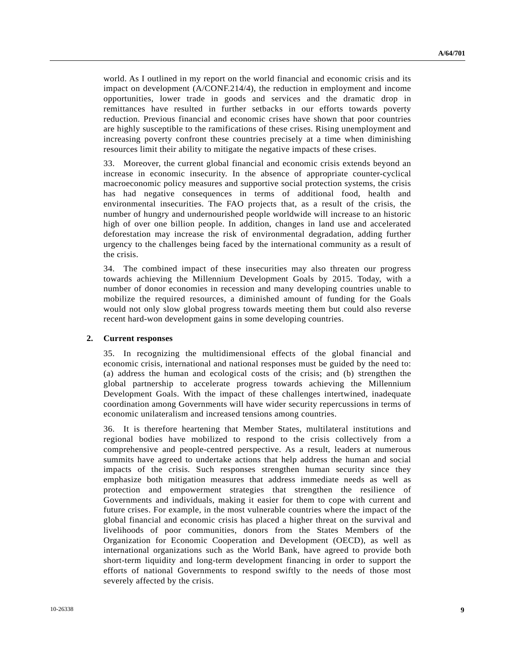world. As I outlined in my report on the world financial and economic crisis and its impact on development (A/CONF.214/4), the reduction in employment and income opportunities, lower trade in goods and services and the dramatic drop in remittances have resulted in further setbacks in our efforts towards poverty reduction. Previous financial and economic crises have shown that poor countries are highly susceptible to the ramifications of these crises. Rising unemployment and increasing poverty confront these countries precisely at a time when diminishing resources limit their ability to mitigate the negative impacts of these crises.

33. Moreover, the current global financial and economic crisis extends beyond an increase in economic insecurity. In the absence of appropriate counter-cyclical macroeconomic policy measures and supportive social protection systems, the crisis has had negative consequences in terms of additional food, health and environmental insecurities. The FAO projects that, as a result of the crisis, the number of hungry and undernourished people worldwide will increase to an historic high of over one billion people. In addition, changes in land use and accelerated deforestation may increase the risk of environmental degradation, adding further urgency to the challenges being faced by the international community as a result of the crisis.

34. The combined impact of these insecurities may also threaten our progress towards achieving the Millennium Development Goals by 2015. Today, with a number of donor economies in recession and many developing countries unable to mobilize the required resources, a diminished amount of funding for the Goals would not only slow global progress towards meeting them but could also reverse recent hard-won development gains in some developing countries.

#### **2. Current responses**

35. In recognizing the multidimensional effects of the global financial and economic crisis, international and national responses must be guided by the need to: (a) address the human and ecological costs of the crisis; and (b) strengthen the global partnership to accelerate progress towards achieving the Millennium Development Goals. With the impact of these challenges intertwined, inadequate coordination among Governments will have wider security repercussions in terms of economic unilateralism and increased tensions among countries.

36. It is therefore heartening that Member States, multilateral institutions and regional bodies have mobilized to respond to the crisis collectively from a comprehensive and people-centred perspective. As a result, leaders at numerous summits have agreed to undertake actions that help address the human and social impacts of the crisis. Such responses strengthen human security since they emphasize both mitigation measures that address immediate needs as well as protection and empowerment strategies that strengthen the resilience of Governments and individuals, making it easier for them to cope with current and future crises. For example, in the most vulnerable countries where the impact of the global financial and economic crisis has placed a higher threat on the survival and livelihoods of poor communities, donors from the States Members of the Organization for Economic Cooperation and Development (OECD), as well as international organizations such as the World Bank, have agreed to provide both short-term liquidity and long-term development financing in order to support the efforts of national Governments to respond swiftly to the needs of those most severely affected by the crisis.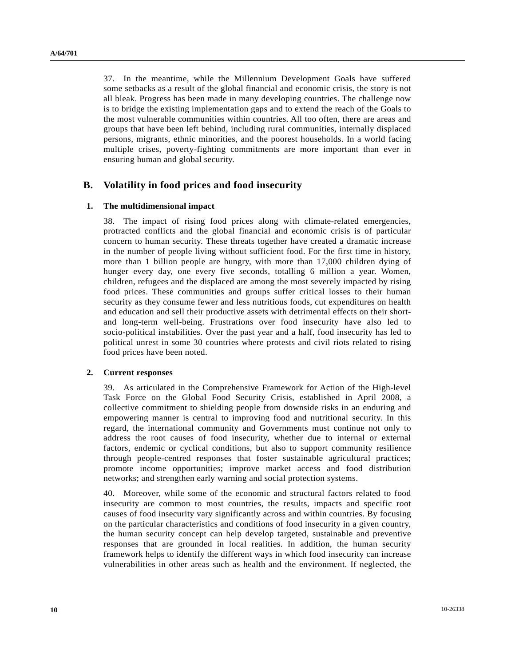37. In the meantime, while the Millennium Development Goals have suffered some setbacks as a result of the global financial and economic crisis, the story is not all bleak. Progress has been made in many developing countries. The challenge now is to bridge the existing implementation gaps and to extend the reach of the Goals to the most vulnerable communities within countries. All too often, there are areas and groups that have been left behind, including rural communities, internally displaced persons, migrants, ethnic minorities, and the poorest households. In a world facing multiple crises, poverty-fighting commitments are more important than ever in ensuring human and global security.

### **B. Volatility in food prices and food insecurity**

#### **1. The multidimensional impact**

38. The impact of rising food prices along with climate-related emergencies, protracted conflicts and the global financial and economic crisis is of particular concern to human security. These threats together have created a dramatic increase in the number of people living without sufficient food. For the first time in history, more than 1 billion people are hungry, with more than 17,000 children dying of hunger every day, one every five seconds, totalling 6 million a year. Women, children, refugees and the displaced are among the most severely impacted by rising food prices. These communities and groups suffer critical losses to their human security as they consume fewer and less nutritious foods, cut expenditures on health and education and sell their productive assets with detrimental effects on their shortand long-term well-being. Frustrations over food insecurity have also led to socio-political instabilities. Over the past year and a half, food insecurity has led to political unrest in some 30 countries where protests and civil riots related to rising food prices have been noted.

#### **2. Current responses**

39. As articulated in the Comprehensive Framework for Action of the High-level Task Force on the Global Food Security Crisis, established in April 2008, a collective commitment to shielding people from downside risks in an enduring and empowering manner is central to improving food and nutritional security. In this regard, the international community and Governments must continue not only to address the root causes of food insecurity, whether due to internal or external factors, endemic or cyclical conditions, but also to support community resilience through people-centred responses that foster sustainable agricultural practices; promote income opportunities; improve market access and food distribution networks; and strengthen early warning and social protection systems.

40. Moreover, while some of the economic and structural factors related to food insecurity are common to most countries, the results, impacts and specific root causes of food insecurity vary significantly across and within countries. By focusing on the particular characteristics and conditions of food insecurity in a given country, the human security concept can help develop targeted, sustainable and preventive responses that are grounded in local realities. In addition, the human security framework helps to identify the different ways in which food insecurity can increase vulnerabilities in other areas such as health and the environment. If neglected, the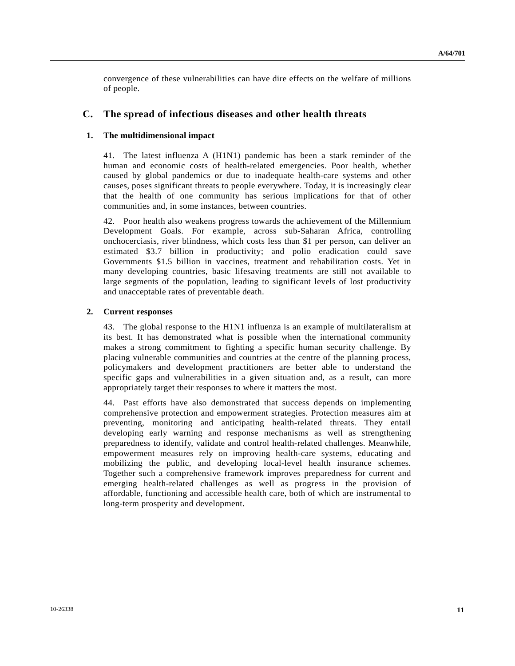convergence of these vulnerabilities can have dire effects on the welfare of millions of people.

### **C. The spread of infectious diseases and other health threats**

#### **1. The multidimensional impact**

41. The latest influenza A (H1N1) pandemic has been a stark reminder of the human and economic costs of health-related emergencies. Poor health, whether caused by global pandemics or due to inadequate health-care systems and other causes, poses significant threats to people everywhere. Today, it is increasingly clear that the health of one community has serious implications for that of other communities and, in some instances, between countries.

42. Poor health also weakens progress towards the achievement of the Millennium Development Goals. For example, across sub-Saharan Africa, controlling onchocerciasis, river blindness, which costs less than \$1 per person, can deliver an estimated \$3.7 billion in productivity; and polio eradication could save Governments \$1.5 billion in vaccines, treatment and rehabilitation costs. Yet in many developing countries, basic lifesaving treatments are still not available to large segments of the population, leading to significant levels of lost productivity and unacceptable rates of preventable death.

#### **2. Current responses**

43. The global response to the H1N1 influenza is an example of multilateralism at its best. It has demonstrated what is possible when the international community makes a strong commitment to fighting a specific human security challenge. By placing vulnerable communities and countries at the centre of the planning process, policymakers and development practitioners are better able to understand the specific gaps and vulnerabilities in a given situation and, as a result, can more appropriately target their responses to where it matters the most.

44. Past efforts have also demonstrated that success depends on implementing comprehensive protection and empowerment strategies. Protection measures aim at preventing, monitoring and anticipating health-related threats. They entail developing early warning and response mechanisms as well as strengthening preparedness to identify, validate and control health-related challenges. Meanwhile, empowerment measures rely on improving health-care systems, educating and mobilizing the public, and developing local-level health insurance schemes. Together such a comprehensive framework improves preparedness for current and emerging health-related challenges as well as progress in the provision of affordable, functioning and accessible health care, both of which are instrumental to long-term prosperity and development.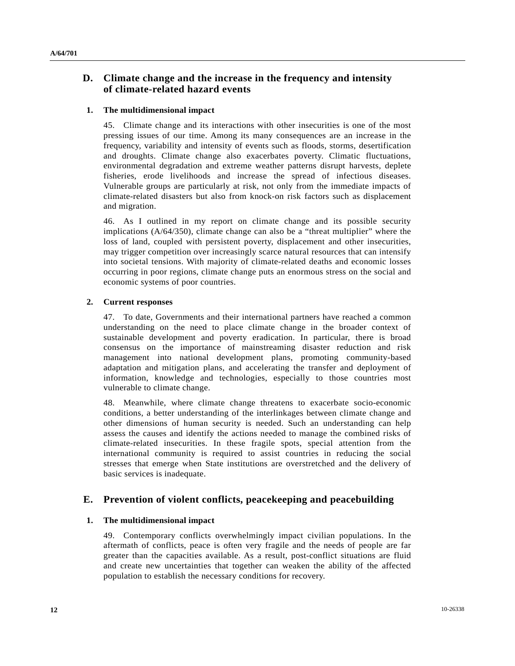## **D. Climate change and the increase in the frequency and intensity of climate-related hazard events**

#### **1. The multidimensional impact**

45. Climate change and its interactions with other insecurities is one of the most pressing issues of our time. Among its many consequences are an increase in the frequency, variability and intensity of events such as floods, storms, desertification and droughts. Climate change also exacerbates poverty. Climatic fluctuations, environmental degradation and extreme weather patterns disrupt harvests, deplete fisheries, erode livelihoods and increase the spread of infectious diseases. Vulnerable groups are particularly at risk, not only from the immediate impacts of climate-related disasters but also from knock-on risk factors such as displacement and migration.

46. As I outlined in my report on climate change and its possible security implications (A/64/350), climate change can also be a "threat multiplier" where the loss of land, coupled with persistent poverty, displacement and other insecurities, may trigger competition over increasingly scarce natural resources that can intensify into societal tensions. With majority of climate-related deaths and economic losses occurring in poor regions, climate change puts an enormous stress on the social and economic systems of poor countries.

#### **2. Current responses**

47. To date, Governments and their international partners have reached a common understanding on the need to place climate change in the broader context of sustainable development and poverty eradication. In particular, there is broad consensus on the importance of mainstreaming disaster reduction and risk management into national development plans, promoting community-based adaptation and mitigation plans, and accelerating the transfer and deployment of information, knowledge and technologies, especially to those countries most vulnerable to climate change.

48. Meanwhile, where climate change threatens to exacerbate socio-economic conditions, a better understanding of the interlinkages between climate change and other dimensions of human security is needed. Such an understanding can help assess the causes and identify the actions needed to manage the combined risks of climate-related insecurities. In these fragile spots, special attention from the international community is required to assist countries in reducing the social stresses that emerge when State institutions are overstretched and the delivery of basic services is inadequate.

## **E. Prevention of violent conflicts, peacekeeping and peacebuilding**

#### **1. The multidimensional impact**

49. Contemporary conflicts overwhelmingly impact civilian populations. In the aftermath of conflicts, peace is often very fragile and the needs of people are far greater than the capacities available. As a result, post-conflict situations are fluid and create new uncertainties that together can weaken the ability of the affected population to establish the necessary conditions for recovery.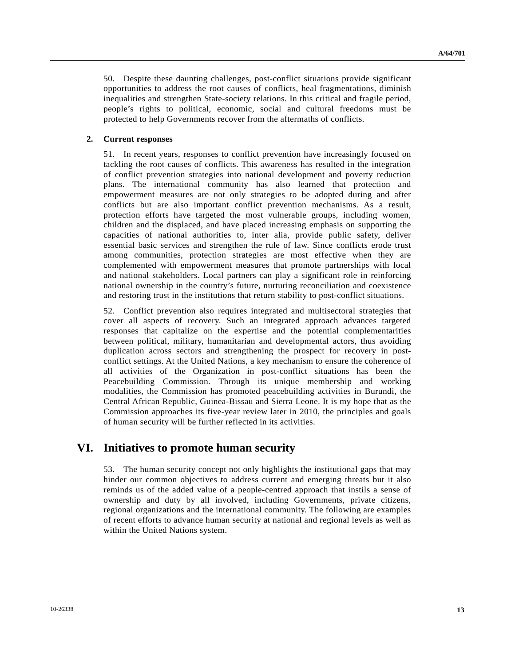50. Despite these daunting challenges, post-conflict situations provide significant opportunities to address the root causes of conflicts, heal fragmentations, diminish inequalities and strengthen State-society relations. In this critical and fragile period, people's rights to political, economic, social and cultural freedoms must be protected to help Governments recover from the aftermaths of conflicts.

#### **2. Current responses**

51. In recent years, responses to conflict prevention have increasingly focused on tackling the root causes of conflicts. This awareness has resulted in the integration of conflict prevention strategies into national development and poverty reduction plans. The international community has also learned that protection and empowerment measures are not only strategies to be adopted during and after conflicts but are also important conflict prevention mechanisms. As a result, protection efforts have targeted the most vulnerable groups, including women, children and the displaced, and have placed increasing emphasis on supporting the capacities of national authorities to, inter alia, provide public safety, deliver essential basic services and strengthen the rule of law. Since conflicts erode trust among communities, protection strategies are most effective when they are complemented with empowerment measures that promote partnerships with local and national stakeholders. Local partners can play a significant role in reinforcing national ownership in the country's future, nurturing reconciliation and coexistence and restoring trust in the institutions that return stability to post-conflict situations.

52. Conflict prevention also requires integrated and multisectoral strategies that cover all aspects of recovery. Such an integrated approach advances targeted responses that capitalize on the expertise and the potential complementarities between political, military, humanitarian and developmental actors, thus avoiding duplication across sectors and strengthening the prospect for recovery in postconflict settings. At the United Nations, a key mechanism to ensure the coherence of all activities of the Organization in post-conflict situations has been the Peacebuilding Commission. Through its unique membership and working modalities, the Commission has promoted peacebuilding activities in Burundi, the Central African Republic, Guinea-Bissau and Sierra Leone. It is my hope that as the Commission approaches its five-year review later in 2010, the principles and goals of human security will be further reflected in its activities.

## **VI. Initiatives to promote human security**

53. The human security concept not only highlights the institutional gaps that may hinder our common objectives to address current and emerging threats but it also reminds us of the added value of a people-centred approach that instils a sense of ownership and duty by all involved, including Governments, private citizens, regional organizations and the international community. The following are examples of recent efforts to advance human security at national and regional levels as well as within the United Nations system.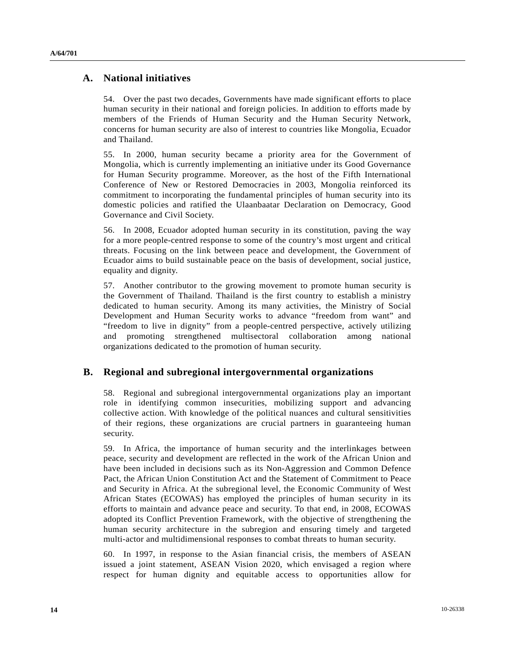## **A. National initiatives**

54. Over the past two decades, Governments have made significant efforts to place human security in their national and foreign policies. In addition to efforts made by members of the Friends of Human Security and the Human Security Network, concerns for human security are also of interest to countries like Mongolia, Ecuador and Thailand.

55. In 2000, human security became a priority area for the Government of Mongolia, which is currently implementing an initiative under its Good Governance for Human Security programme. Moreover, as the host of the Fifth International Conference of New or Restored Democracies in 2003, Mongolia reinforced its commitment to incorporating the fundamental principles of human security into its domestic policies and ratified the Ulaanbaatar Declaration on Democracy, Good Governance and Civil Society.

56. In 2008, Ecuador adopted human security in its constitution, paving the way for a more people-centred response to some of the country's most urgent and critical threats. Focusing on the link between peace and development, the Government of Ecuador aims to build sustainable peace on the basis of development, social justice, equality and dignity.

57. Another contributor to the growing movement to promote human security is the Government of Thailand. Thailand is the first country to establish a ministry dedicated to human security. Among its many activities, the Ministry of Social Development and Human Security works to advance "freedom from want" and "freedom to live in dignity" from a people-centred perspective, actively utilizing and promoting strengthened multisectoral collaboration among national organizations dedicated to the promotion of human security.

## **B. Regional and subregional intergovernmental organizations**

58. Regional and subregional intergovernmental organizations play an important role in identifying common insecurities, mobilizing support and advancing collective action. With knowledge of the political nuances and cultural sensitivities of their regions, these organizations are crucial partners in guaranteeing human security.

59. In Africa, the importance of human security and the interlinkages between peace, security and development are reflected in the work of the African Union and have been included in decisions such as its Non-Aggression and Common Defence Pact, the African Union Constitution Act and the Statement of Commitment to Peace and Security in Africa. At the subregional level, the Economic Community of West African States (ECOWAS) has employed the principles of human security in its efforts to maintain and advance peace and security. To that end, in 2008, ECOWAS adopted its Conflict Prevention Framework, with the objective of strengthening the human security architecture in the subregion and ensuring timely and targeted multi-actor and multidimensional responses to combat threats to human security.

60. In 1997, in response to the Asian financial crisis, the members of ASEAN issued a joint statement, ASEAN Vision 2020, which envisaged a region where respect for human dignity and equitable access to opportunities allow for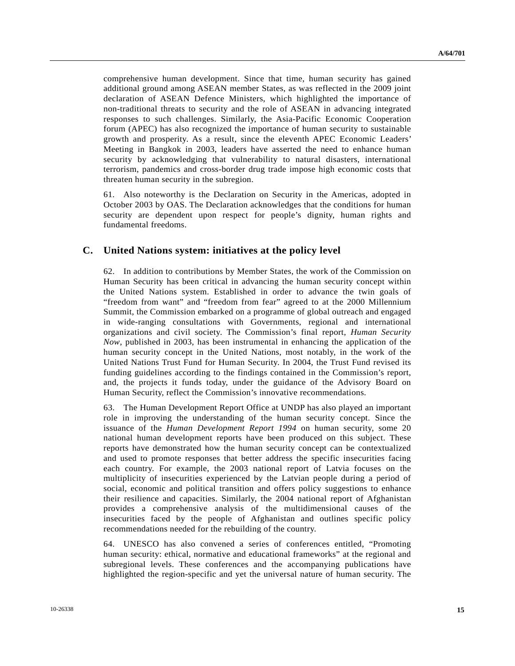comprehensive human development. Since that time, human security has gained additional ground among ASEAN member States, as was reflected in the 2009 joint declaration of ASEAN Defence Ministers, which highlighted the importance of non-traditional threats to security and the role of ASEAN in advancing integrated responses to such challenges. Similarly, the Asia-Pacific Economic Cooperation forum (APEC) has also recognized the importance of human security to sustainable growth and prosperity. As a result, since the eleventh APEC Economic Leaders' Meeting in Bangkok in 2003, leaders have asserted the need to enhance human security by acknowledging that vulnerability to natural disasters, international terrorism, pandemics and cross-border drug trade impose high economic costs that threaten human security in the subregion.

61. Also noteworthy is the Declaration on Security in the Americas, adopted in October 2003 by OAS. The Declaration acknowledges that the conditions for human security are dependent upon respect for people's dignity, human rights and fundamental freedoms.

### **C. United Nations system: initiatives at the policy level**

62. In addition to contributions by Member States, the work of the Commission on Human Security has been critical in advancing the human security concept within the United Nations system. Established in order to advance the twin goals of "freedom from want" and "freedom from fear" agreed to at the 2000 Millennium Summit, the Commission embarked on a programme of global outreach and engaged in wide-ranging consultations with Governments, regional and international organizations and civil society. The Commission's final report, *Human Security Now*, published in 2003, has been instrumental in enhancing the application of the human security concept in the United Nations, most notably, in the work of the United Nations Trust Fund for Human Security. In 2004, the Trust Fund revised its funding guidelines according to the findings contained in the Commission's report, and, the projects it funds today, under the guidance of the Advisory Board on Human Security, reflect the Commission's innovative recommendations.

63. The Human Development Report Office at UNDP has also played an important role in improving the understanding of the human security concept. Since the issuance of the *Human Development Report 1994* on human security, some 20 national human development reports have been produced on this subject. These reports have demonstrated how the human security concept can be contextualized and used to promote responses that better address the specific insecurities facing each country. For example, the 2003 national report of Latvia focuses on the multiplicity of insecurities experienced by the Latvian people during a period of social, economic and political transition and offers policy suggestions to enhance their resilience and capacities. Similarly, the 2004 national report of Afghanistan provides a comprehensive analysis of the multidimensional causes of the insecurities faced by the people of Afghanistan and outlines specific policy recommendations needed for the rebuilding of the country.

64. UNESCO has also convened a series of conferences entitled, "Promoting human security: ethical, normative and educational frameworks" at the regional and subregional levels. These conferences and the accompanying publications have highlighted the region-specific and yet the universal nature of human security. The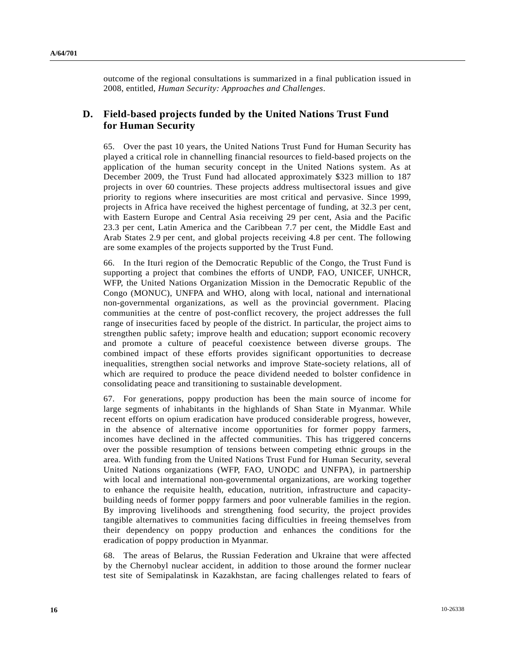outcome of the regional consultations is summarized in a final publication issued in 2008, entitled, *Human Security: Approaches and Challenges*.

## **D. Field-based projects funded by the United Nations Trust Fund for Human Security**

65. Over the past 10 years, the United Nations Trust Fund for Human Security has played a critical role in channelling financial resources to field-based projects on the application of the human security concept in the United Nations system. As at December 2009, the Trust Fund had allocated approximately \$323 million to 187 projects in over 60 countries. These projects address multisectoral issues and give priority to regions where insecurities are most critical and pervasive. Since 1999, projects in Africa have received the highest percentage of funding, at 32.3 per cent, with Eastern Europe and Central Asia receiving 29 per cent, Asia and the Pacific 23.3 per cent, Latin America and the Caribbean 7.7 per cent, the Middle East and Arab States 2.9 per cent, and global projects receiving 4.8 per cent. The following are some examples of the projects supported by the Trust Fund.

66. In the Ituri region of the Democratic Republic of the Congo, the Trust Fund is supporting a project that combines the efforts of UNDP, FAO, UNICEF, UNHCR, WFP, the United Nations Organization Mission in the Democratic Republic of the Congo (MONUC), UNFPA and WHO, along with local, national and international non-governmental organizations, as well as the provincial government. Placing communities at the centre of post-conflict recovery, the project addresses the full range of insecurities faced by people of the district. In particular, the project aims to strengthen public safety; improve health and education; support economic recovery and promote a culture of peaceful coexistence between diverse groups. The combined impact of these efforts provides significant opportunities to decrease inequalities, strengthen social networks and improve State-society relations, all of which are required to produce the peace dividend needed to bolster confidence in consolidating peace and transitioning to sustainable development.

67. For generations, poppy production has been the main source of income for large segments of inhabitants in the highlands of Shan State in Myanmar. While recent efforts on opium eradication have produced considerable progress, however, in the absence of alternative income opportunities for former poppy farmers, incomes have declined in the affected communities. This has triggered concerns over the possible resumption of tensions between competing ethnic groups in the area. With funding from the United Nations Trust Fund for Human Security, several United Nations organizations (WFP, FAO, UNODC and UNFPA), in partnership with local and international non-governmental organizations, are working together to enhance the requisite health, education, nutrition, infrastructure and capacitybuilding needs of former poppy farmers and poor vulnerable families in the region. By improving livelihoods and strengthening food security, the project provides tangible alternatives to communities facing difficulties in freeing themselves from their dependency on poppy production and enhances the conditions for the eradication of poppy production in Myanmar.

68. The areas of Belarus, the Russian Federation and Ukraine that were affected by the Chernobyl nuclear accident, in addition to those around the former nuclear test site of Semipalatinsk in Kazakhstan, are facing challenges related to fears of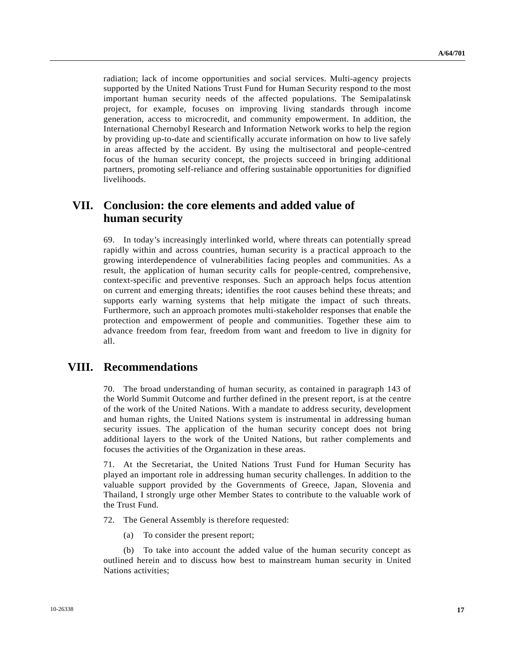radiation; lack of income opportunities and social services. Multi-agency projects supported by the United Nations Trust Fund for Human Security respond to the most important human security needs of the affected populations. The Semipalatinsk project, for example, focuses on improving living standards through income generation, access to microcredit, and community empowerment. In addition, the International Chernobyl Research and Information Network works to help the region by providing up-to-date and scientifically accurate information on how to live safely in areas affected by the accident. By using the multisectoral and people-centred focus of the human security concept, the projects succeed in bringing additional partners, promoting self-reliance and offering sustainable opportunities for dignified livelihoods.

# **VII. Conclusion: the core elements and added value of human security**

69. In today's increasingly interlinked world, where threats can potentially spread rapidly within and across countries, human security is a practical approach to the growing interdependence of vulnerabilities facing peoples and communities. As a result, the application of human security calls for people-centred, comprehensive, context-specific and preventive responses. Such an approach helps focus attention on current and emerging threats; identifies the root causes behind these threats; and supports early warning systems that help mitigate the impact of such threats. Furthermore, such an approach promotes multi-stakeholder responses that enable the protection and empowerment of people and communities. Together these aim to advance freedom from fear, freedom from want and freedom to live in dignity for all.

## **VIII. Recommendations**

70. The broad understanding of human security, as contained in paragraph 143 of the World Summit Outcome and further defined in the present report, is at the centre of the work of the United Nations. With a mandate to address security, development and human rights, the United Nations system is instrumental in addressing human security issues. The application of the human security concept does not bring additional layers to the work of the United Nations, but rather complements and focuses the activities of the Organization in these areas.

71. At the Secretariat, the United Nations Trust Fund for Human Security has played an important role in addressing human security challenges. In addition to the valuable support provided by the Governments of Greece, Japan, Slovenia and Thailand, I strongly urge other Member States to contribute to the valuable work of the Trust Fund.

72. The General Assembly is therefore requested:

(a) To consider the present report;

 (b) To take into account the added value of the human security concept as outlined herein and to discuss how best to mainstream human security in United Nations activities;